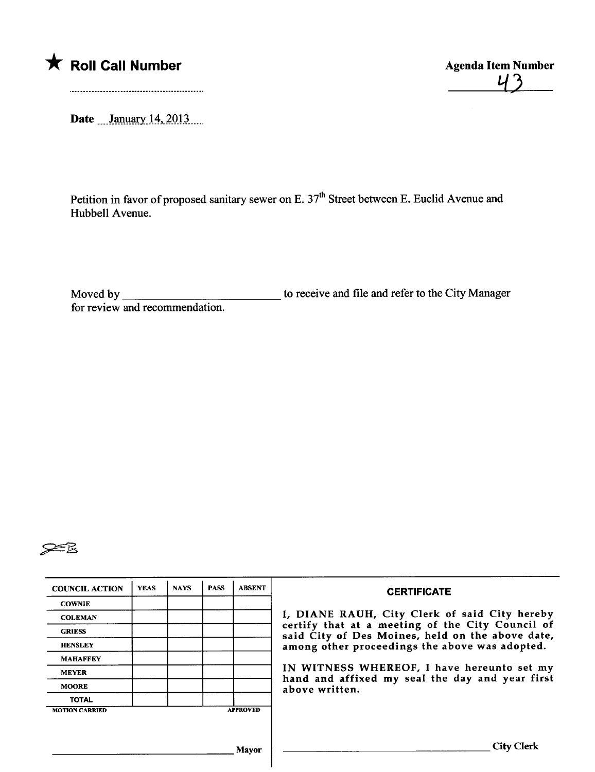

 $43$ 

Date  $\frac{\text{January } 14, 2013...}{\text{January } 14, 2013...}$ 

Petition in favor of proposed sanitary sewer on E. 37<sup>th</sup> Street between E. Euclid Avenue and Hubbell Avenue.

Moved by for review and recommendation. to receive and file and refer to the City Manager



| <b>COUNCIL ACTION</b> | <b>YEAS</b> | <b>NAYS</b> | <b>PASS</b> | <b>ABSENT</b>   | <b>CERTIFICATE</b>                                                                                   |
|-----------------------|-------------|-------------|-------------|-----------------|------------------------------------------------------------------------------------------------------|
| <b>COWNIE</b>         |             |             |             |                 |                                                                                                      |
| <b>COLEMAN</b>        |             |             |             |                 | I, DIANE RAUH, City Clerk of said City hereby                                                        |
| <b>GRIESS</b>         |             |             |             |                 | certify that at a meeting of the City Council of<br>said City of Des Moines, held on the above date, |
| <b>HENSLEY</b>        |             |             |             |                 | among other proceedings the above was adopted.                                                       |
| <b>MAHAFFEY</b>       |             |             |             |                 |                                                                                                      |
| <b>MEYER</b>          |             |             |             |                 | IN WITNESS WHEREOF, I have hereunto set my<br>hand and affixed my seal the day and year first        |
| <b>MOORE</b>          |             |             |             |                 | above written.                                                                                       |
| <b>TOTAL</b>          |             |             |             |                 |                                                                                                      |
| <b>MOTION CARRIED</b> |             |             |             | <b>APPROVED</b> |                                                                                                      |
|                       |             |             |             |                 |                                                                                                      |
|                       |             |             |             |                 |                                                                                                      |
|                       |             |             |             | Mavor           | <b>City Clerk</b>                                                                                    |